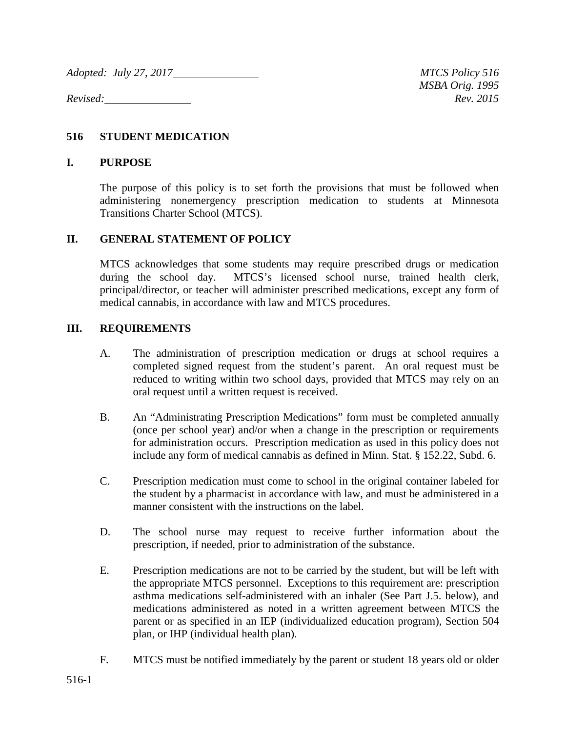*Adopted: July 27, 2017* MTCS Policy 516

*Revised: Rev. 2015*

## **516 STUDENT MEDICATION**

## **I. PURPOSE**

The purpose of this policy is to set forth the provisions that must be followed when administering nonemergency prescription medication to students at Minnesota Transitions Charter School (MTCS).

## **II. GENERAL STATEMENT OF POLICY**

MTCS acknowledges that some students may require prescribed drugs or medication during the school day. MTCS's licensed school nurse, trained health clerk, principal/director, or teacher will administer prescribed medications, except any form of medical cannabis, in accordance with law and MTCS procedures.

## **III. REQUIREMENTS**

- A. The administration of prescription medication or drugs at school requires a completed signed request from the student's parent. An oral request must be reduced to writing within two school days, provided that MTCS may rely on an oral request until a written request is received.
- B. An "Administrating Prescription Medications" form must be completed annually (once per school year) and/or when a change in the prescription or requirements for administration occurs. Prescription medication as used in this policy does not include any form of medical cannabis as defined in Minn. Stat. § 152.22, Subd. 6.
- C. Prescription medication must come to school in the original container labeled for the student by a pharmacist in accordance with law, and must be administered in a manner consistent with the instructions on the label.
- D. The school nurse may request to receive further information about the prescription, if needed, prior to administration of the substance.
- E. Prescription medications are not to be carried by the student, but will be left with the appropriate MTCS personnel. Exceptions to this requirement are: prescription asthma medications self-administered with an inhaler (See Part J.5. below), and medications administered as noted in a written agreement between MTCS the parent or as specified in an IEP (individualized education program), Section 504 plan, or IHP (individual health plan).
- F. MTCS must be notified immediately by the parent or student 18 years old or older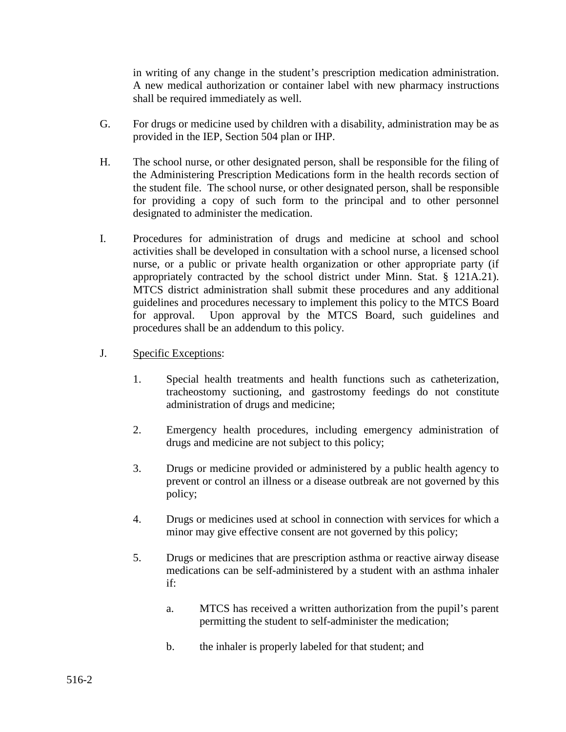in writing of any change in the student's prescription medication administration. A new medical authorization or container label with new pharmacy instructions shall be required immediately as well.

- G. For drugs or medicine used by children with a disability, administration may be as provided in the IEP, Section 504 plan or IHP.
- H. The school nurse, or other designated person, shall be responsible for the filing of the Administering Prescription Medications form in the health records section of the student file. The school nurse, or other designated person, shall be responsible for providing a copy of such form to the principal and to other personnel designated to administer the medication.
- I. Procedures for administration of drugs and medicine at school and school activities shall be developed in consultation with a school nurse, a licensed school nurse, or a public or private health organization or other appropriate party (if appropriately contracted by the school district under Minn. Stat. § 121A.21). MTCS district administration shall submit these procedures and any additional guidelines and procedures necessary to implement this policy to the MTCS Board for approval. Upon approval by the MTCS Board, such guidelines and procedures shall be an addendum to this policy.
- J. Specific Exceptions:
	- 1. Special health treatments and health functions such as catheterization, tracheostomy suctioning, and gastrostomy feedings do not constitute administration of drugs and medicine;
	- 2. Emergency health procedures, including emergency administration of drugs and medicine are not subject to this policy;
	- 3. Drugs or medicine provided or administered by a public health agency to prevent or control an illness or a disease outbreak are not governed by this policy;
	- 4. Drugs or medicines used at school in connection with services for which a minor may give effective consent are not governed by this policy;
	- 5. Drugs or medicines that are prescription asthma or reactive airway disease medications can be self-administered by a student with an asthma inhaler if:
		- a. MTCS has received a written authorization from the pupil's parent permitting the student to self-administer the medication;
		- b. the inhaler is properly labeled for that student; and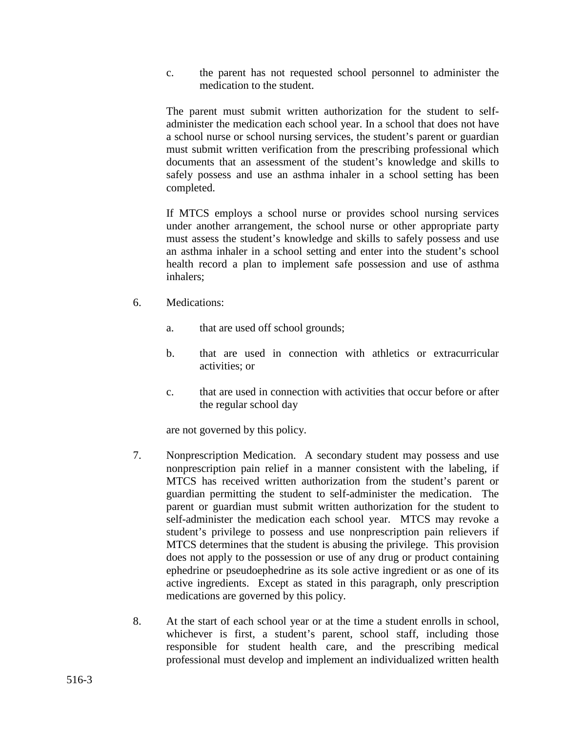c. the parent has not requested school personnel to administer the medication to the student.

The parent must submit written authorization for the student to selfadminister the medication each school year. In a school that does not have a school nurse or school nursing services, the student's parent or guardian must submit written verification from the prescribing professional which documents that an assessment of the student's knowledge and skills to safely possess and use an asthma inhaler in a school setting has been completed.

If MTCS employs a school nurse or provides school nursing services under another arrangement, the school nurse or other appropriate party must assess the student's knowledge and skills to safely possess and use an asthma inhaler in a school setting and enter into the student's school health record a plan to implement safe possession and use of asthma inhalers;

- 6. Medications:
	- a. that are used off school grounds;
	- b. that are used in connection with athletics or extracurricular activities; or
	- c. that are used in connection with activities that occur before or after the regular school day

are not governed by this policy.

- 7. Nonprescription Medication. A secondary student may possess and use nonprescription pain relief in a manner consistent with the labeling, if MTCS has received written authorization from the student's parent or guardian permitting the student to self-administer the medication. The parent or guardian must submit written authorization for the student to self-administer the medication each school year. MTCS may revoke a student's privilege to possess and use nonprescription pain relievers if MTCS determines that the student is abusing the privilege. This provision does not apply to the possession or use of any drug or product containing ephedrine or pseudoephedrine as its sole active ingredient or as one of its active ingredients. Except as stated in this paragraph, only prescription medications are governed by this policy.
- 8. At the start of each school year or at the time a student enrolls in school, whichever is first, a student's parent, school staff, including those responsible for student health care, and the prescribing medical professional must develop and implement an individualized written health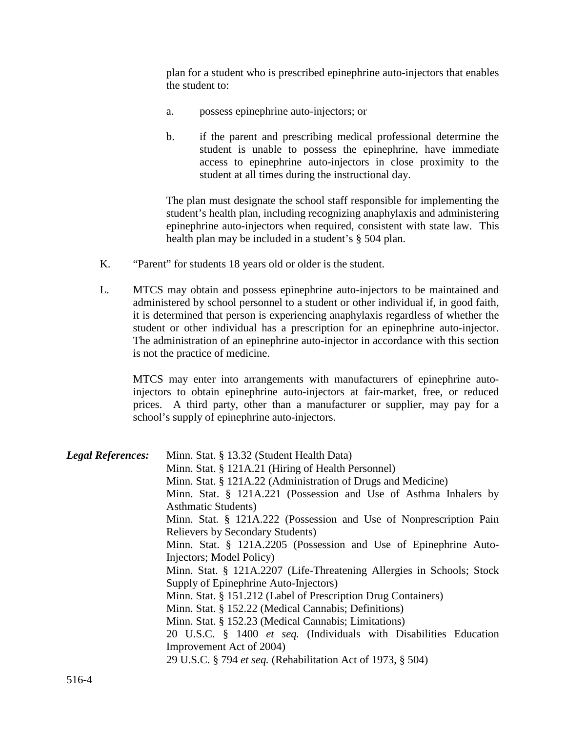plan for a student who is prescribed epinephrine auto-injectors that enables the student to:

- a. possess epinephrine auto-injectors; or
- b. if the parent and prescribing medical professional determine the student is unable to possess the epinephrine, have immediate access to epinephrine auto-injectors in close proximity to the student at all times during the instructional day.

The plan must designate the school staff responsible for implementing the student's health plan, including recognizing anaphylaxis and administering epinephrine auto-injectors when required, consistent with state law. This health plan may be included in a student's § 504 plan.

- K. "Parent" for students 18 years old or older is the student.
- L. MTCS may obtain and possess epinephrine auto-injectors to be maintained and administered by school personnel to a student or other individual if, in good faith, it is determined that person is experiencing anaphylaxis regardless of whether the student or other individual has a prescription for an epinephrine auto-injector. The administration of an epinephrine auto-injector in accordance with this section is not the practice of medicine.

MTCS may enter into arrangements with manufacturers of epinephrine autoinjectors to obtain epinephrine auto-injectors at fair-market, free, or reduced prices. A third party, other than a manufacturer or supplier, may pay for a school's supply of epinephrine auto-injectors.

| <b>Legal References:</b> | Minn. Stat. § 13.32 (Student Health Data)                             |
|--------------------------|-----------------------------------------------------------------------|
|                          | Minn. Stat. § 121A.21 (Hiring of Health Personnel)                    |
|                          | Minn. Stat. § 121A.22 (Administration of Drugs and Medicine)          |
|                          | Minn. Stat. § 121A.221 (Possession and Use of Asthma Inhalers by      |
|                          | <b>Asthmatic Students</b> )                                           |
|                          | Minn. Stat. § 121A.222 (Possession and Use of Nonprescription Pain    |
|                          | <b>Relievers by Secondary Students)</b>                               |
|                          | Minn. Stat. § 121A.2205 (Possession and Use of Epinephrine Auto-      |
|                          | Injectors; Model Policy)                                              |
|                          | Minn. Stat. § 121A.2207 (Life-Threatening Allergies in Schools; Stock |
|                          | Supply of Epinephrine Auto-Injectors)                                 |
|                          | Minn. Stat. § 151.212 (Label of Prescription Drug Containers)         |
|                          | Minn. Stat. § 152.22 (Medical Cannabis; Definitions)                  |
|                          | Minn. Stat. § 152.23 (Medical Cannabis; Limitations)                  |
|                          | 20 U.S.C. § 1400 et seq. (Individuals with Disabilities Education     |
|                          | Improvement Act of 2004)                                              |
|                          | 29 U.S.C. § 794 et seq. (Rehabilitation Act of 1973, § 504)           |